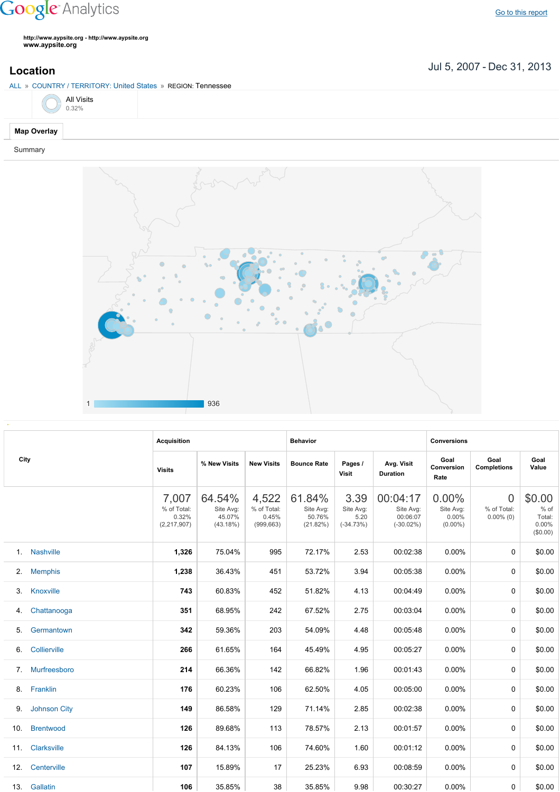## **Google** Analytics

**http://www.aypsite.org http://www.aypsite.org www.aypsite.org**

Jul 5, 2007 Dec 31, 2013 **Location**

## ALL » COUNTRY / TERRITORY: United States » REGION: Tennessee



Summary



|     | City                | <b>Acquisition</b>                             |                                           |                                             | <b>Behavior</b>                           |                                          |                                                   | <b>Conversions</b>                              |                                               |                                               |  |
|-----|---------------------|------------------------------------------------|-------------------------------------------|---------------------------------------------|-------------------------------------------|------------------------------------------|---------------------------------------------------|-------------------------------------------------|-----------------------------------------------|-----------------------------------------------|--|
|     |                     | <b>Visits</b>                                  | % New Visits                              | <b>New Visits</b>                           | <b>Bounce Rate</b>                        | Pages /<br><b>Visit</b>                  | Avg. Visit<br><b>Duration</b>                     | Goal<br>Conversion<br>Rate                      | Goal<br><b>Completions</b>                    | Goal<br>Value                                 |  |
|     |                     | 7,007<br>% of Total:<br>0.32%<br>(2, 217, 907) | 64.54%<br>Site Avg:<br>45.07%<br>(43.18%) | 4,522<br>% of Total:<br>0.45%<br>(999, 663) | 61.84%<br>Site Avg:<br>50.76%<br>(21.82%) | 3.39<br>Site Avg:<br>5.20<br>$(-34.73%)$ | 00:04:17<br>Site Avg:<br>00:06:07<br>$(-30.02\%)$ | $0.00\%$<br>Site Avg:<br>$0.00\%$<br>$(0.00\%)$ | $\overline{0}$<br>% of Total:<br>$0.00\%$ (0) | \$0.00<br>% of<br>Total:<br>0.00%<br>(\$0.00) |  |
|     | 1. Nashville        | 1,326                                          | 75.04%                                    | 995                                         | 72.17%                                    | 2.53                                     | 00:02:38                                          | 0.00%                                           | $\Omega$                                      | \$0.00                                        |  |
|     | 2. Memphis          | 1,238                                          | 36.43%                                    | 451                                         | 53.72%                                    | 3.94                                     | 00:05:38                                          | $0.00\%$                                        | $\Omega$                                      | \$0.00                                        |  |
| 3.  | Knoxville           | 743                                            | 60.83%                                    | 452                                         | 51.82%                                    | 4.13                                     | 00:04:49                                          | 0.00%                                           | $\Omega$                                      | \$0.00                                        |  |
| 4.  | Chattanooga         | 351                                            | 68.95%                                    | 242                                         | 67.52%                                    | 2.75                                     | 00:03:04                                          | $0.00\%$                                        | $\Omega$                                      | \$0.00                                        |  |
| 5.  | Germantown          | 342                                            | 59.36%                                    | 203                                         | 54.09%                                    | 4.48                                     | 00:05:48                                          | 0.00%                                           | $\Omega$                                      | \$0.00                                        |  |
| 6.  | Collierville        | 266                                            | 61.65%                                    | 164                                         | 45.49%                                    | 4.95                                     | 00:05:27                                          | 0.00%                                           | 0                                             | \$0.00                                        |  |
| 7.  | Murfreesboro        | 214                                            | 66.36%                                    | 142                                         | 66.82%                                    | 1.96                                     | 00:01:43                                          | 0.00%                                           | $\Omega$                                      | \$0.00                                        |  |
| 8.  | Franklin            | 176                                            | 60.23%                                    | 106                                         | 62.50%                                    | 4.05                                     | 00:05:00                                          | 0.00%                                           | $\Omega$                                      | \$0.00                                        |  |
| 9.  | <b>Johnson City</b> | 149                                            | 86.58%                                    | 129                                         | 71.14%                                    | 2.85                                     | 00:02:38                                          | 0.00%                                           | $\Omega$                                      | \$0.00                                        |  |
| 10. | <b>Brentwood</b>    | 126                                            | 89.68%                                    | 113                                         | 78.57%                                    | 2.13                                     | 00:01:57                                          | 0.00%                                           | $\Omega$                                      | \$0.00                                        |  |
| 11. | Clarksville         | 126                                            | 84.13%                                    | 106                                         | 74.60%                                    | 1.60                                     | 00:01:12                                          | 0.00%                                           | $\Omega$                                      | \$0.00                                        |  |
| 12. | Centerville         | 107                                            | 15.89%                                    | 17                                          | 25.23%                                    | 6.93                                     | 00:08:59                                          | 0.00%                                           | $\Omega$                                      | \$0.00                                        |  |
|     | 13. Gallatin        | 106                                            | 35.85%                                    | 38                                          | 35.85%                                    | 9.98                                     | 00:30:27                                          | $0.00\%$                                        | 0                                             | \$0.00                                        |  |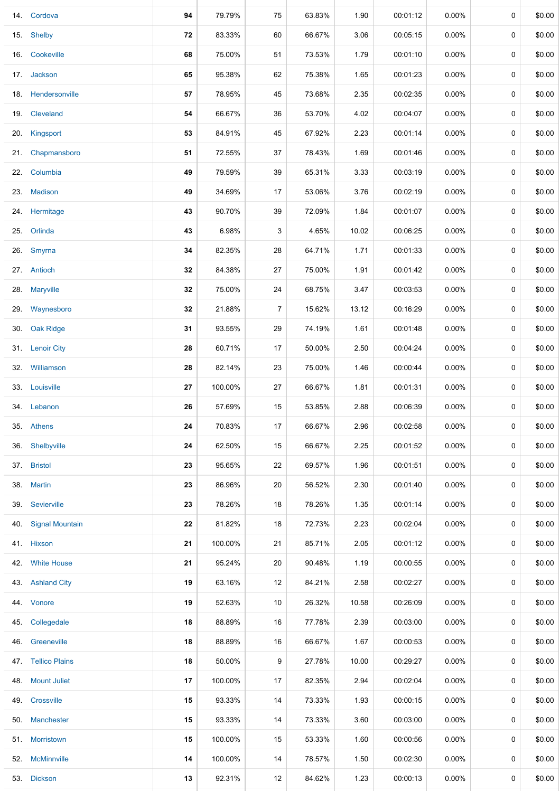| 14. | Cordova                | 94 | 79.79%  | 75 | 63.83% | 1.90  | 00:01:12 | 0.00%    | 0           | \$0.00 |
|-----|------------------------|----|---------|----|--------|-------|----------|----------|-------------|--------|
| 15. | Shelby                 | 72 | 83.33%  | 60 | 66.67% | 3.06  | 00:05:15 | $0.00\%$ | 0           | \$0.00 |
|     | 16. Cookeville         | 68 | 75.00%  | 51 | 73.53% | 1.79  | 00:01:10 | $0.00\%$ | 0           | \$0.00 |
|     | 17. Jackson            | 65 | 95.38%  | 62 | 75.38% | 1.65  | 00:01:23 | 0.00%    | 0           | \$0.00 |
|     | 18. Hendersonville     | 57 | 78.95%  | 45 | 73.68% | 2.35  | 00:02:35 | $0.00\%$ | 0           | \$0.00 |
| 19. | Cleveland              | 54 | 66.67%  | 36 | 53.70% | 4.02  | 00:04:07 | $0.00\%$ | 0           | \$0.00 |
| 20. | Kingsport              | 53 | 84.91%  | 45 | 67.92% | 2.23  | 00:01:14 | $0.00\%$ | 0           | \$0.00 |
| 21. | Chapmansboro           | 51 | 72.55%  | 37 | 78.43% | 1.69  | 00:01:46 | $0.00\%$ | 0           | \$0.00 |
|     | 22. Columbia           | 49 | 79.59%  | 39 | 65.31% | 3.33  | 00:03:19 | $0.00\%$ | 0           | \$0.00 |
| 23. | <b>Madison</b>         | 49 | 34.69%  | 17 | 53.06% | 3.76  | 00:02:19 | $0.00\%$ | 0           | \$0.00 |
|     | 24. Hermitage          | 43 | 90.70%  | 39 | 72.09% | 1.84  | 00:01:07 | 0.00%    | 0           | \$0.00 |
| 25. | Orlinda                | 43 | 6.98%   | 3  | 4.65%  | 10.02 | 00:06:25 | $0.00\%$ | 0           | \$0.00 |
|     | 26. Smyrna             | 34 | 82.35%  | 28 | 64.71% | 1.71  | 00:01:33 | $0.00\%$ | 0           | \$0.00 |
|     | 27. Antioch            | 32 | 84.38%  | 27 | 75.00% | 1.91  | 00:01:42 | $0.00\%$ | 0           | \$0.00 |
|     | 28. Maryville          | 32 | 75.00%  | 24 | 68.75% | 3.47  | 00:03:53 | $0.00\%$ | 0           | \$0.00 |
|     | 29. Waynesboro         | 32 | 21.88%  | 7  | 15.62% | 13.12 | 00:16:29 | $0.00\%$ | 0           | \$0.00 |
| 30. | Oak Ridge              | 31 | 93.55%  | 29 | 74.19% | 1.61  | 00:01:48 | $0.00\%$ | 0           | \$0.00 |
|     | 31. Lenoir City        | 28 | 60.71%  | 17 | 50.00% | 2.50  | 00:04:24 | $0.00\%$ | 0           | \$0.00 |
| 32. | Williamson             | 28 | 82.14%  | 23 | 75.00% | 1.46  | 00:00:44 | $0.00\%$ | 0           | \$0.00 |
|     | 33. Louisville         | 27 | 100.00% | 27 | 66.67% | 1.81  | 00:01:31 | 0.00%    | 0           | \$0.00 |
|     | 34. Lebanon            | 26 | 57.69%  | 15 | 53.85% | 2.88  | 00:06:39 | $0.00\%$ | 0           | \$0.00 |
| 35. | <b>Athens</b>          | 24 | 70.83%  | 17 | 66.67% | 2.96  | 00:02:58 | $0.00\%$ | 0           | \$0.00 |
| 36. | Shelbyville            | 24 | 62.50%  | 15 | 66.67% | 2.25  | 00:01:52 | $0.00\%$ | $\mathbf 0$ | \$0.00 |
|     | 37. Bristol            | 23 | 95.65%  | 22 | 69.57% | 1.96  | 00:01:51 | $0.00\%$ | 0           | \$0.00 |
| 38. | <b>Martin</b>          | 23 | 86.96%  | 20 | 56.52% | 2.30  | 00:01:40 | $0.00\%$ | 0           | \$0.00 |
| 39. | Sevierville            | 23 | 78.26%  | 18 | 78.26% | 1.35  | 00:01:14 | 0.00%    | 0           | \$0.00 |
| 40. | <b>Signal Mountain</b> | 22 | 81.82%  | 18 | 72.73% | 2.23  | 00:02:04 | $0.00\%$ | 0           | \$0.00 |
|     | 41. Hixson             | 21 | 100.00% | 21 | 85.71% | 2.05  | 00:01:12 | $0.00\%$ | 0           | \$0.00 |
| 42. | <b>White House</b>     | 21 | 95.24%  | 20 | 90.48% | 1.19  | 00:00:55 | $0.00\%$ | 0           | \$0.00 |
|     | 43. Ashland City       | 19 | 63.16%  | 12 | 84.21% | 2.58  | 00:02:27 | $0.00\%$ | 0           | \$0.00 |
| 44. | Vonore                 | 19 | 52.63%  | 10 | 26.32% | 10.58 | 00:26:09 | $0.00\%$ | 0           | \$0.00 |
| 45. | Collegedale            | 18 | 88.89%  | 16 | 77.78% | 2.39  | 00:03:00 | $0.00\%$ | 0           | \$0.00 |
|     | 46. Greeneville        | 18 | 88.89%  | 16 | 66.67% | 1.67  | 00:00:53 | $0.00\%$ | 0           | \$0.00 |
|     | 47. Tellico Plains     | 18 | 50.00%  | 9  | 27.78% | 10.00 | 00:29:27 | $0.00\%$ | 0           | \$0.00 |
| 48. | <b>Mount Juliet</b>    | 17 | 100.00% | 17 | 82.35% | 2.94  | 00:02:04 | $0.00\%$ | 0           | \$0.00 |
| 49. | Crossville             | 15 | 93.33%  | 14 | 73.33% | 1.93  | 00:00:15 | $0.00\%$ | 0           | \$0.00 |
|     | 50. Manchester         | 15 | 93.33%  | 14 | 73.33% | 3.60  | 00:03:00 | $0.00\%$ | 0           | \$0.00 |
|     | 51. Morristown         | 15 | 100.00% | 15 | 53.33% | 1.60  | 00:00:56 | $0.00\%$ | 0           | \$0.00 |
| 52. | <b>McMinnville</b>     | 14 | 100.00% | 14 | 78.57% | 1.50  | 00:02:30 | $0.00\%$ | 0           | \$0.00 |
| 53. | <b>Dickson</b>         | 13 | 92.31%  | 12 | 84.62% | 1.23  | 00:00:13 | 0.00%    | 0           | \$0.00 |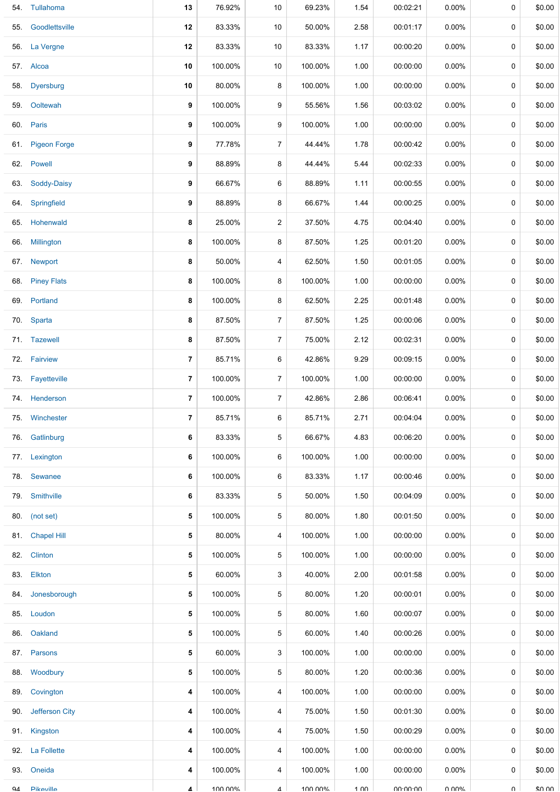|     | 54. Tullahoma    | 13             | 76.92%  | 10             | 69.23%  | 1.54            | 00:02:21        | $0.00\%$ | 0 | \$0.00 |
|-----|------------------|----------------|---------|----------------|---------|-----------------|-----------------|----------|---|--------|
| 55. | Goodlettsville   | 12             | 83.33%  | 10             | 50.00%  | 2.58            | 00:01:17        | $0.00\%$ | 0 | \$0.00 |
|     | 56. La Vergne    | 12             | 83.33%  | 10             | 83.33%  | 1.17            | 00:00:20        | $0.00\%$ | 0 | \$0.00 |
|     | 57. Alcoa        | 10             | 100.00% | 10             | 100.00% | 1.00            | 00:00:00        | $0.00\%$ | 0 | \$0.00 |
|     | 58. Dyersburg    | 10             | 80.00%  | 8              | 100.00% | 1.00            | 00:00:00        | $0.00\%$ | 0 | \$0.00 |
|     | 59. Ooltewah     | 9              | 100.00% | 9              | 55.56%  | 1.56            | 00:03:02        | $0.00\%$ | 0 | \$0.00 |
|     | 60. Paris        | 9              | 100.00% | 9              | 100.00% | 1.00            | 00:00:00        | $0.00\%$ | 0 | \$0.00 |
|     | 61. Pigeon Forge | 9              | 77.78%  | 7              | 44.44%  | 1.78            | 00:00:42        | $0.00\%$ | 0 | \$0.00 |
|     | 62. Powell       | 9              | 88.89%  | 8              | 44.44%  | 5.44            | 00:02:33        | $0.00\%$ | 0 | \$0.00 |
|     | 63. Soddy-Daisy  | 9              | 66.67%  | 6              | 88.89%  | 1.11            | 00:00:55        | $0.00\%$ | 0 | \$0.00 |
|     | 64. Springfield  | 9              | 88.89%  | 8              | 66.67%  | 1.44            | 00:00:25        | $0.00\%$ | 0 | \$0.00 |
|     | 65. Hohenwald    | 8              | 25.00%  | $\overline{c}$ | 37.50%  | 4.75            | 00:04:40        | $0.00\%$ | 0 | \$0.00 |
|     | 66. Millington   | 8              | 100.00% | 8              | 87.50%  | 1.25            | 00:01:20        | $0.00\%$ | 0 | \$0.00 |
|     | 67. Newport      | 8              | 50.00%  | 4              | 62.50%  | 1.50            | 00:01:05        | $0.00\%$ | 0 | \$0.00 |
|     | 68. Piney Flats  | 8              | 100.00% | 8              | 100.00% | 1.00            | 00:00:00        | 0.00%    | 0 | \$0.00 |
|     | 69. Portland     | 8              | 100.00% | 8              | 62.50%  | 2.25            | 00:01:48        | $0.00\%$ | 0 | \$0.00 |
|     | 70. Sparta       | 8              | 87.50%  | $\overline{7}$ | 87.50%  | 1.25            | 00:00:06        | $0.00\%$ | 0 | \$0.00 |
|     | 71. Tazewell     | 8              | 87.50%  | 7              | 75.00%  | 2.12            | 00:02:31        | $0.00\%$ | 0 | \$0.00 |
|     | 72. Fairview     | 7              | 85.71%  | 6              | 42.86%  | 9.29            | 00:09:15        | $0.00\%$ | 0 | \$0.00 |
|     | 73. Fayetteville | 7              | 100.00% | $\overline{7}$ | 100.00% | 1.00            | 00:00:00        | $0.00\%$ | 0 | \$0.00 |
|     | 74. Henderson    | 7              | 100.00% | $\overline{7}$ | 42.86%  | 2.86            | 00:06:41        | $0.00\%$ | 0 | \$0.00 |
|     | 75. Winchester   | $\overline{7}$ | 85.71%  | 6              | 85.71%  | 2.71            | 00:04:04        | $0.00\%$ | 0 | \$0.00 |
|     | 76. Gatlinburg   | 6              | 83.33%  | 5              | 66.67%  | 4.83            | 00:06:20        | $0.00\%$ | 0 | \$0.00 |
|     | 77. Lexington    | 6              | 100.00% | 6              | 100.00% | 1.00            | 00:00:00        | $0.00\%$ | 0 | \$0.00 |
|     | 78. Sewanee      | 6              | 100.00% | 6              | 83.33%  | 1.17            | 00:00:46        | $0.00\%$ | 0 | \$0.00 |
| 79. | Smithville       | 6              | 83.33%  | 5              | 50.00%  | 1.50            | 00:04:09        | $0.00\%$ | 0 | \$0.00 |
|     | 80. (not set)    | 5              | 100.00% | 5              | 80.00%  | 1.80            | 00:01:50        | $0.00\%$ | 0 | \$0.00 |
|     | 81. Chapel Hill  | 5              | 80.00%  | 4              | 100.00% | 1.00            | 00:00:00        | $0.00\%$ | 0 | \$0.00 |
|     | 82. Clinton      | 5              | 100.00% | 5              | 100.00% | 1.00            | 00:00:00        | $0.00\%$ | 0 | \$0.00 |
|     | 83. Elkton       | 5              | 60.00%  | 3              | 40.00%  | 2.00            | 00:01:58        | $0.00\%$ | 0 | \$0.00 |
| 84. | Jonesborough     | 5              | 100.00% | 5              | 80.00%  | 1.20            | 00:00:01        | $0.00\%$ | 0 | \$0.00 |
|     | 85. Loudon       | 5              | 100.00% | 5              | 80.00%  | 1.60            | 00:00:07        | $0.00\%$ | 0 | \$0.00 |
| 86. | Oakland          | 5              | 100.00% | 5              | 60.00%  | 1.40            | 00:00:26        | $0.00\%$ | 0 | \$0.00 |
|     | 87. Parsons      | 5              | 60.00%  | 3              | 100.00% | 1.00            | 00:00:00        | $0.00\%$ | 0 | \$0.00 |
|     | 88. Woodbury     | 5              | 100.00% | 5              | 80.00%  | 1.20            | 00:00:36        | $0.00\%$ | 0 | \$0.00 |
| 89. | Covington        | 4              | 100.00% | 4              | 100.00% | 1.00            | 00:00:00        | $0.00\%$ | 0 | \$0.00 |
| 90. | Jefferson City   | 4              | 100.00% | 4              | 75.00%  | 1.50            | 00:01:30        | $0.00\%$ | 0 | \$0.00 |
|     | 91. Kingston     | 4              | 100.00% | 4              | 75.00%  | 1.50            | 00:00:29        | $0.00\%$ | 0 | \$0.00 |
|     | 92. La Follette  | 4              | 100.00% | 4              | 100.00% | 1.00            | 00:00:00        | $0.00\%$ | 0 | \$0.00 |
|     | 93. Oneida       | 4              | 100.00% | 4              | 100.00% | 1.00            | 00:00:00        | 0.00%    | 0 | \$0.00 |
| QΔ  | Pikeville        | 4              | 100 00% | 4              | 100 00% | $1 \cap \Omega$ | <b>UU-UU-UU</b> | በ በበ%    | U | ደበ በበ  |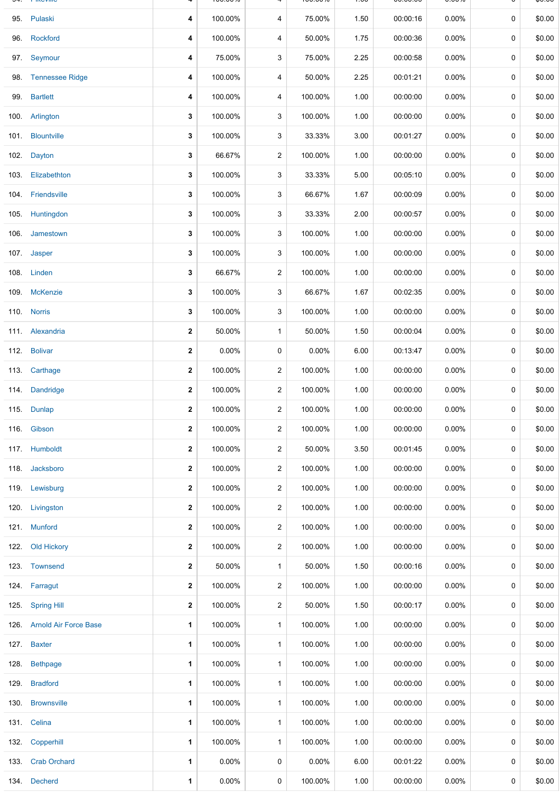|      | 95. Pulaski                | 4            | 100.00%  | 4              | 75.00%  | 1.50 | 00:00:16 | 0.00%    | 0           | \$0.00 |
|------|----------------------------|--------------|----------|----------------|---------|------|----------|----------|-------------|--------|
|      | 96. Rockford               | 4            | 100.00%  | 4              | 50.00%  | 1.75 | 00:00:36 | $0.00\%$ | 0           | \$0.00 |
|      | 97. Seymour                | 4            | 75.00%   | 3              | 75.00%  | 2.25 | 00:00:58 | 0.00%    | 0           | \$0.00 |
|      | 98. Tennessee Ridge        | 4            | 100.00%  | 4              | 50.00%  | 2.25 | 00:01:21 | $0.00\%$ | 0           | \$0.00 |
|      | 99. Bartlett               | 4            | 100.00%  | 4              | 100.00% | 1.00 | 00:00:00 | $0.00\%$ | 0           | \$0.00 |
|      | 100. Arlington             | 3            | 100.00%  | 3              | 100.00% | 1.00 | 00:00:00 | $0.00\%$ | 0           | \$0.00 |
|      | 101. Blountville           | 3            | 100.00%  | 3              | 33.33%  | 3.00 | 00:01:27 | 0.00%    | 0           | \$0.00 |
|      | 102. Dayton                | 3            | 66.67%   | $\overline{2}$ | 100.00% | 1.00 | 00:00:00 | $0.00\%$ | 0           | \$0.00 |
|      | 103. Elizabethton          | 3            | 100.00%  | 3              | 33.33%  | 5.00 | 00:05:10 | $0.00\%$ | 0           | \$0.00 |
|      | 104. Friendsville          | 3            | 100.00%  | 3              | 66.67%  | 1.67 | 00:00:09 | $0.00\%$ | 0           | \$0.00 |
|      | 105. Huntingdon            | 3            | 100.00%  | 3              | 33.33%  | 2.00 | 00:00:57 | $0.00\%$ | 0           | \$0.00 |
|      | 106. Jamestown             | 3            | 100.00%  | 3              | 100.00% | 1.00 | 00:00:00 | $0.00\%$ | 0           | \$0.00 |
|      | 107. Jasper                | 3            | 100.00%  | 3              | 100.00% | 1.00 | 00:00:00 | $0.00\%$ | 0           | \$0.00 |
|      | 108. Linden                | 3            | 66.67%   | 2              | 100.00% | 1.00 | 00:00:00 | $0.00\%$ | 0           | \$0.00 |
|      | 109. McKenzie              | 3            | 100.00%  | 3              | 66.67%  | 1.67 | 00:02:35 | $0.00\%$ | 0           | \$0.00 |
|      | 110. Norris                | 3            | 100.00%  | 3              | 100.00% | 1.00 | 00:00:00 | $0.00\%$ | 0           | \$0.00 |
|      | 111. Alexandria            | 2            | 50.00%   | $\mathbf{1}$   | 50.00%  | 1.50 | 00:00:04 | $0.00\%$ | 0           | \$0.00 |
|      | 112. Bolivar               | 2            | $0.00\%$ | 0              | 0.00%   | 6.00 | 00:13:47 | 0.00%    | 0           | \$0.00 |
|      | 113. Carthage              | $\mathbf{2}$ | 100.00%  | $\overline{a}$ | 100.00% | 1.00 | 00:00:00 | $0.00\%$ | 0           | \$0.00 |
|      | 114. Dandridge             | 2            | 100.00%  | 2              | 100.00% | 1.00 | 00:00:00 | $0.00\%$ | 0           | \$0.00 |
|      | 115. Dunlap                | $\mathbf{2}$ | 100.00%  | $\overline{a}$ | 100.00% | 1.00 | 00:00:00 | $0.00\%$ | 0           | \$0.00 |
|      | 116. Gibson                | 2            | 100.00%  | 2              | 100.00% | 1.00 | 00:00:00 | $0.00\%$ | 0           | \$0.00 |
|      | 117. Humboldt              | 2            | 100.00%  | $\overline{a}$ | 50.00%  | 3.50 | 00:01:45 | $0.00\%$ | $\mathbf 0$ | \$0.00 |
|      | 118. Jacksboro             | 2            | 100.00%  | 2              | 100.00% | 1.00 | 00:00:00 | $0.00\%$ | 0           | \$0.00 |
|      | 119. Lewisburg             | 2            | 100.00%  | $\overline{2}$ | 100.00% | 1.00 | 00:00:00 | $0.00\%$ | 0           | \$0.00 |
|      | 120. Livingston            | 2            | 100.00%  | 2              | 100.00% | 1.00 | 00:00:00 | $0.00\%$ | 0           | \$0.00 |
|      | 121. Munford               | 2            | 100.00%  | 2              | 100.00% | 1.00 | 00:00:00 | $0.00\%$ | $\mathbf 0$ | \$0.00 |
|      | 122. Old Hickory           | 2            | 100.00%  | $\overline{2}$ | 100.00% | 1.00 | 00:00:00 | $0.00\%$ | 0           | \$0.00 |
|      | 123. Townsend              | 2            | 50.00%   | $\mathbf{1}$   | 50.00%  | 1.50 | 00:00:16 | $0.00\%$ | 0           | \$0.00 |
|      | 124. Farragut              | 2            | 100.00%  | 2              | 100.00% | 1.00 | 00:00:00 | $0.00\%$ | 0           | \$0.00 |
|      | 125. Spring Hill           | 2            | 100.00%  | 2              | 50.00%  | 1.50 | 00:00:17 | $0.00\%$ | 0           | \$0.00 |
|      | 126. Arnold Air Force Base | 1            | 100.00%  | $\mathbf{1}$   | 100.00% | 1.00 | 00:00:00 | $0.00\%$ | 0           | \$0.00 |
|      | 127. Baxter                | 1            | 100.00%  | $\mathbf{1}$   | 100.00% | 1.00 | 00:00:00 | $0.00\%$ | 0           | \$0.00 |
| 128. | <b>Bethpage</b>            | 1            | 100.00%  | $\mathbf{1}$   | 100.00% | 1.00 | 00:00:00 | $0.00\%$ | 0           | \$0.00 |
|      | 129. Bradford              | 1            | 100.00%  | $\mathbf{1}$   | 100.00% | 1.00 | 00:00:00 | $0.00\%$ | 0           | \$0.00 |
| 130. | <b>Brownsville</b>         | 1            | 100.00%  | $\mathbf{1}$   | 100.00% | 1.00 | 00:00:00 | $0.00\%$ | 0           | \$0.00 |
|      | 131. Celina                | 1            | 100.00%  | $\mathbf{1}$   | 100.00% | 1.00 | 00:00:00 | $0.00\%$ | 0           | \$0.00 |
|      | 132. Copperhill            | 1            | 100.00%  | $\mathbf{1}$   | 100.00% | 1.00 | 00:00:00 | $0.00\%$ | 0           | \$0.00 |
|      | 133. Crab Orchard          | 1            | $0.00\%$ | 0              | 0.00%   | 6.00 | 00:01:22 | $0.00\%$ | 0           | \$0.00 |
|      | 134. Decherd               | 1            | 0.00%    | 0              | 100.00% | 1.00 | 00:00:00 | $0.00\%$ | 0           | \$0.00 |

94. Pikeville **4** 100.00% 4 100.00% 1.00 00:00:00 0.00% 0 \$0.00